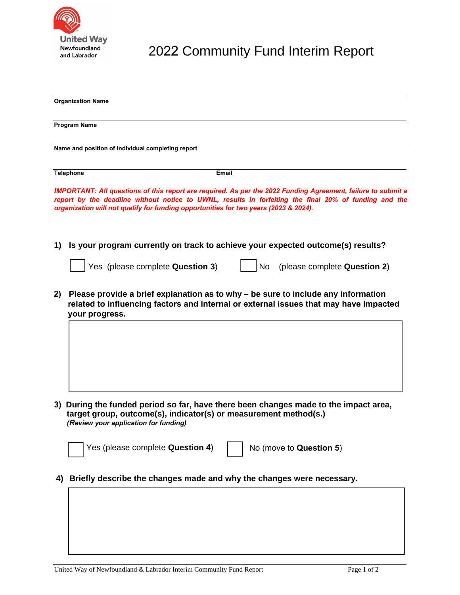

2022 Community Fund Interim Report

| <b>Organization Name</b> |                                                                                                                                                                                                                                                                                                               |
|--------------------------|---------------------------------------------------------------------------------------------------------------------------------------------------------------------------------------------------------------------------------------------------------------------------------------------------------------|
|                          |                                                                                                                                                                                                                                                                                                               |
|                          | <b>Program Name</b>                                                                                                                                                                                                                                                                                           |
|                          | Name and position of individual completing report                                                                                                                                                                                                                                                             |
|                          |                                                                                                                                                                                                                                                                                                               |
|                          | <b>Telephone</b><br><b>Email</b>                                                                                                                                                                                                                                                                              |
|                          | IMPORTANT: All questions of this report are required. As per the 2022 Funding Agreement, failure to submit a<br>report by the deadline without notice to UWNL, results in forfeiting the final 20% of funding and the<br>organization will not qualify for funding opportunities for two years (2023 & 2024). |
| 1)                       | Is your program currently on track to achieve your expected outcome(s) results?                                                                                                                                                                                                                               |
|                          | Yes (please complete Question 3)<br>(please complete Question 2)<br><b>No</b>                                                                                                                                                                                                                                 |
| 2)                       | Please provide a brief explanation as to why – be sure to include any information<br>related to influencing factors and internal or external issues that may have impacted<br>your progress.                                                                                                                  |
|                          |                                                                                                                                                                                                                                                                                                               |
|                          |                                                                                                                                                                                                                                                                                                               |
|                          |                                                                                                                                                                                                                                                                                                               |
|                          |                                                                                                                                                                                                                                                                                                               |
|                          | 3) During the funded period so far, have there been changes made to the impact area,<br>target group, outcome(s), indicator(s) or measurement method(s.)<br>(Review your application for funding)                                                                                                             |
|                          | Yes (please complete Question 4)<br>No (move to Question 5)                                                                                                                                                                                                                                                   |
| 4)                       | Briefly describe the changes made and why the changes were necessary.                                                                                                                                                                                                                                         |
|                          |                                                                                                                                                                                                                                                                                                               |
|                          |                                                                                                                                                                                                                                                                                                               |